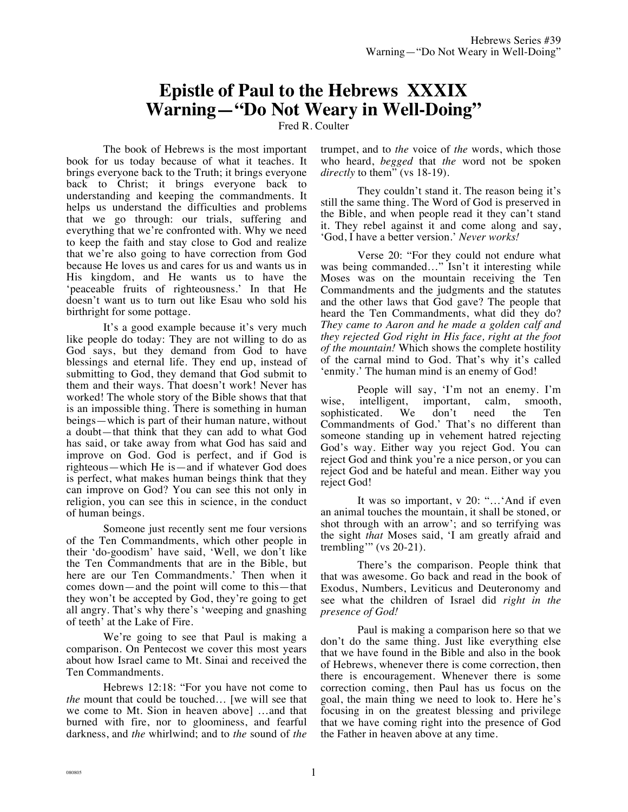## **Epistle of Paul to the Hebrews XXXIX Warning—"Do Not Weary in Well-Doing"**

Fred R. Coulter

The book of Hebrews is the most important book for us today because of what it teaches. It brings everyone back to the Truth; it brings everyone back to Christ; it brings everyone back to understanding and keeping the commandments. It helps us understand the difficulties and problems that we go through: our trials, suffering and everything that we're confronted with. Why we need to keep the faith and stay close to God and realize that we're also going to have correction from God because He loves us and cares for us and wants us in His kingdom, and He wants us to have the 'peaceable fruits of righteousness.' In that He doesn't want us to turn out like Esau who sold his birthright for some pottage.

It's a good example because it's very much like people do today: They are not willing to do as God says, but they demand from God to have blessings and eternal life. They end up, instead of submitting to God, they demand that God submit to them and their ways. That doesn't work! Never has worked! The whole story of the Bible shows that that is an impossible thing. There is something in human beings—which is part of their human nature, without a doubt—that think that they can add to what God has said, or take away from what God has said and improve on God. God is perfect, and if God is righteous—which He is—and if whatever God does is perfect, what makes human beings think that they can improve on God? You can see this not only in religion, you can see this in science, in the conduct of human beings.

Someone just recently sent me four versions of the Ten Commandments, which other people in their 'do-goodism' have said, 'Well, we don't like the Ten Commandments that are in the Bible, but here are our Ten Commandments.' Then when it comes down—and the point will come to this—that they won't be accepted by God, they're going to get all angry. That's why there's 'weeping and gnashing of teeth' at the Lake of Fire.

We're going to see that Paul is making a comparison. On Pentecost we cover this most years about how Israel came to Mt. Sinai and received the Ten Commandments.

Hebrews 12:18: "For you have not come to *the* mount that could be touched… [we will see that we come to Mt. Sion in heaven above] …and that burned with fire, nor to gloominess, and fearful darkness, and *the* whirlwind; and to *the* sound of *the* trumpet, and to *the* voice of *the* words, which those who heard, *begged* that *the* word not be spoken *directly* to them" (vs 18-19).

They couldn't stand it. The reason being it's still the same thing. The Word of God is preserved in the Bible, and when people read it they can't stand it. They rebel against it and come along and say, 'God, I have a better version.' *Never works!*

Verse 20: "For they could not endure what was being commanded…" Isn't it interesting while Moses was on the mountain receiving the Ten Commandments and the judgments and the statutes and the other laws that God gave? The people that heard the Ten Commandments, what did they do? *They came to Aaron and he made a golden calf and they rejected God right in His face, right at the foot of the mountain!* Which shows the complete hostility of the carnal mind to God. That's why it's called 'enmity.' The human mind is an enemy of God!

People will say, 'I'm not an enemy. I'm wise, intelligent, important, calm, smooth,<br>sophisticated. We don't need the Ten sophisticated. We don't need the Ten Commandments of God.' That's no different than someone standing up in vehement hatred rejecting God's way. Either way you reject God. You can reject God and think you're a nice person, or you can reject God and be hateful and mean. Either way you reject God!

It was so important, v 20: "…'And if even an animal touches the mountain, it shall be stoned, or shot through with an arrow'; and so terrifying was the sight *that* Moses said, 'I am greatly afraid and trembling'" (vs  $20-21$ ).

There's the comparison. People think that that was awesome. Go back and read in the book of Exodus, Numbers, Leviticus and Deuteronomy and see what the children of Israel did *right in the presence of God!*

Paul is making a comparison here so that we don't do the same thing. Just like everything else that we have found in the Bible and also in the book of Hebrews, whenever there is come correction, then there is encouragement. Whenever there is some correction coming, then Paul has us focus on the goal, the main thing we need to look to. Here he's focusing in on the greatest blessing and privilege that we have coming right into the presence of God the Father in heaven above at any time.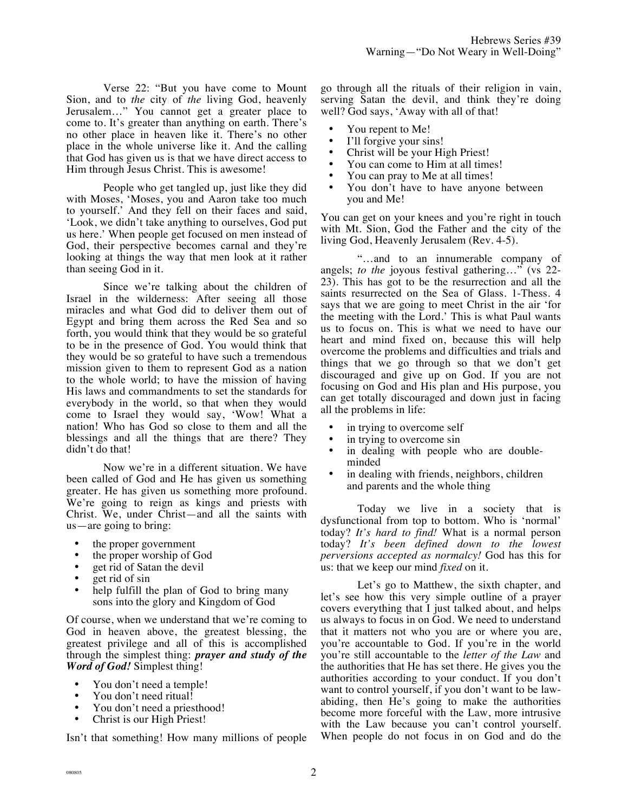Verse 22: "But you have come to Mount Sion, and to *the* city of *the* living God, heavenly Jerusalem…" You cannot get a greater place to come to. It's greater than anything on earth. There's no other place in heaven like it. There's no other place in the whole universe like it. And the calling that God has given us is that we have direct access to Him through Jesus Christ. This is awesome!

People who get tangled up, just like they did with Moses, 'Moses, you and Aaron take too much to yourself.' And they fell on their faces and said, 'Look, we didn't take anything to ourselves, God put us here.' When people get focused on men instead of God, their perspective becomes carnal and they're looking at things the way that men look at it rather than seeing God in it.

Since we're talking about the children of Israel in the wilderness: After seeing all those miracles and what God did to deliver them out of Egypt and bring them across the Red Sea and so forth, you would think that they would be so grateful to be in the presence of God. You would think that they would be so grateful to have such a tremendous mission given to them to represent God as a nation to the whole world; to have the mission of having His laws and commandments to set the standards for everybody in the world, so that when they would come to Israel they would say, 'Wow! What a nation! Who has God so close to them and all the blessings and all the things that are there? They didn't do that!

Now we're in a different situation. We have been called of God and He has given us something greater. He has given us something more profound. We're going to reign as kings and priests with Christ. We, under Christ—and all the saints with us—are going to bring:

- the proper government
- the proper worship of God
- get rid of Satan the devil
- get rid of sin<br>• help fulfill the
- help fulfill the plan of God to bring many sons into the glory and Kingdom of God

Of course, when we understand that we're coming to God in heaven above, the greatest blessing, the greatest privilege and all of this is accomplished through the simplest thing: *prayer and study of the Word of God!* Simplest thing!

- You don't need a temple!
- You don't need ritual!
- You don't need a priesthood!
- Christ is our High Priest!

Isn't that something! How many millions of people

go through all the rituals of their religion in vain, serving Satan the devil, and think they're doing well? God says, 'Away with all of that!

- You repent to Me!
- I'll forgive your sins!
- Christ will be your High Priest!
- You can come to Him at all times!
- You can pray to Me at all times!
- You don't have to have anyone between you and Me!

You can get on your knees and you're right in touch with Mt. Sion, God the Father and the city of the living God, Heavenly Jerusalem (Rev. 4-5).

"…and to an innumerable company of angels; *to the* joyous festival gathering…" (vs 22- 23). This has got to be the resurrection and all the saints resurrected on the Sea of Glass. 1-Thess. 4 says that we are going to meet Christ in the air 'for the meeting with the Lord.' This is what Paul wants us to focus on. This is what we need to have our heart and mind fixed on, because this will help overcome the problems and difficulties and trials and things that we go through so that we don't get discouraged and give up on God. If you are not focusing on God and His plan and His purpose, you can get totally discouraged and down just in facing all the problems in life:

- in trying to overcome self
- in trying to overcome sin
- in dealing with people who are doubleminded
- in dealing with friends, neighbors, children and parents and the whole thing

Today we live in a society that is dysfunctional from top to bottom. Who is 'normal' today? *It's hard to find!* What is a normal person today? *It's been defined down to the lowest perversions accepted as normalcy!* God has this for us: that we keep our mind *fixed* on it.

Let's go to Matthew, the sixth chapter, and let's see how this very simple outline of a prayer covers everything that I just talked about, and helps us always to focus in on God. We need to understand that it matters not who you are or where you are, you're accountable to God. If you're in the world you're still accountable to the *letter of the Law* and the authorities that He has set there. He gives you the authorities according to your conduct. If you don't want to control yourself, if you don't want to be lawabiding, then He's going to make the authorities become more forceful with the Law, more intrusive with the Law because you can't control yourself. When people do not focus in on God and do the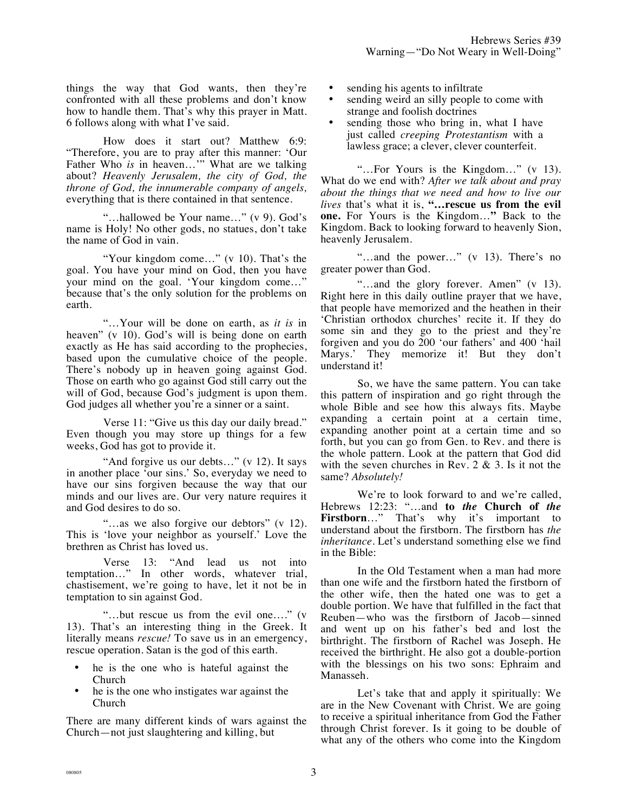things the way that God wants, then they're confronted with all these problems and don't know how to handle them. That's why this prayer in Matt. 6 follows along with what I've said.

How does it start out? Matthew 6:9: "Therefore, you are to pray after this manner: 'Our Father Who *is* in heaven..." What are we talking about? *Heavenly Jerusalem, the city of God, the throne of God, the innumerable company of angels,*  everything that is there contained in that sentence.

"…hallowed be Your name…" (v 9). God's name is Holy! No other gods, no statues, don't take the name of God in vain.

"Your kingdom come..." (v 10). That's the goal. You have your mind on God, then you have your mind on the goal. 'Your kingdom come...' because that's the only solution for the problems on earth.

"…Your will be done on earth, as *it is* in heaven" (v 10). God's will is being done on earth exactly as He has said according to the prophecies, based upon the cumulative choice of the people. There's nobody up in heaven going against God. Those on earth who go against God still carry out the will of God, because God's judgment is upon them. God judges all whether you're a sinner or a saint.

Verse 11: "Give us this day our daily bread." Even though you may store up things for a few weeks, God has got to provide it.

"And forgive us our debts..." (v 12). It says in another place 'our sins.' So, everyday we need to have our sins forgiven because the way that our minds and our lives are. Our very nature requires it and God desires to do so.

"…as we also forgive our debtors" (v 12). This is 'love your neighbor as yourself.' Love the brethren as Christ has loved us.

Verse 13: "And lead us not into temptation…" In other words, whatever trial, chastisement, we're going to have, let it not be in temptation to sin against God.

"…but rescue us from the evil one…." (v 13). That's an interesting thing in the Greek. It literally means *rescue!* To save us in an emergency, rescue operation. Satan is the god of this earth.

- he is the one who is hateful against the Church
- he is the one who instigates war against the Church

There are many different kinds of wars against the Church—not just slaughtering and killing, but

- sending his agents to infiltrate
- sending weird an silly people to come with strange and foolish doctrines
- sending those who bring in, what I have just called *creeping Protestantism* with a lawless grace; a clever, clever counterfeit.

"…For Yours is the Kingdom…" (v 13). What do we end with? *After we talk about and pray about the things that we need and how to live our lives* that's what it is, **"…rescue us from the evil one.** For Yours is the Kingdom…**"** Back to the Kingdom. Back to looking forward to heavenly Sion, heavenly Jerusalem.

"…and the power…" (v 13). There's no greater power than God.

"…and the glory forever. Amen" (v 13). Right here in this daily outline prayer that we have, that people have memorized and the heathen in their 'Christian orthodox churches' recite it. If they do some sin and they go to the priest and they're forgiven and you do 200 'our fathers' and 400 'hail Marys.' They memorize it! But they don't understand it!

So, we have the same pattern. You can take this pattern of inspiration and go right through the whole Bible and see how this always fits. Maybe expanding a certain point at a certain time, expanding another point at a certain time and so forth, but you can go from Gen. to Rev. and there is the whole pattern. Look at the pattern that God did with the seven churches in Rev.  $2 \& 3$ . Is it not the same? *Absolutely!*

We're to look forward to and we're called, Hebrews 12:23: "…and **to** *the* **Church of** *the* **Firstborn**…" That's why it's important to understand about the firstborn. The firstborn has *the inheritance.* Let's understand something else we find in the Bible:

In the Old Testament when a man had more than one wife and the firstborn hated the firstborn of the other wife, then the hated one was to get a double portion. We have that fulfilled in the fact that Reuben—who was the firstborn of Jacob—sinned and went up on his father's bed and lost the birthright. The firstborn of Rachel was Joseph. He received the birthright. He also got a double-portion with the blessings on his two sons: Ephraim and Manasseh.

Let's take that and apply it spiritually: We are in the New Covenant with Christ. We are going to receive a spiritual inheritance from God the Father through Christ forever. Is it going to be double of what any of the others who come into the Kingdom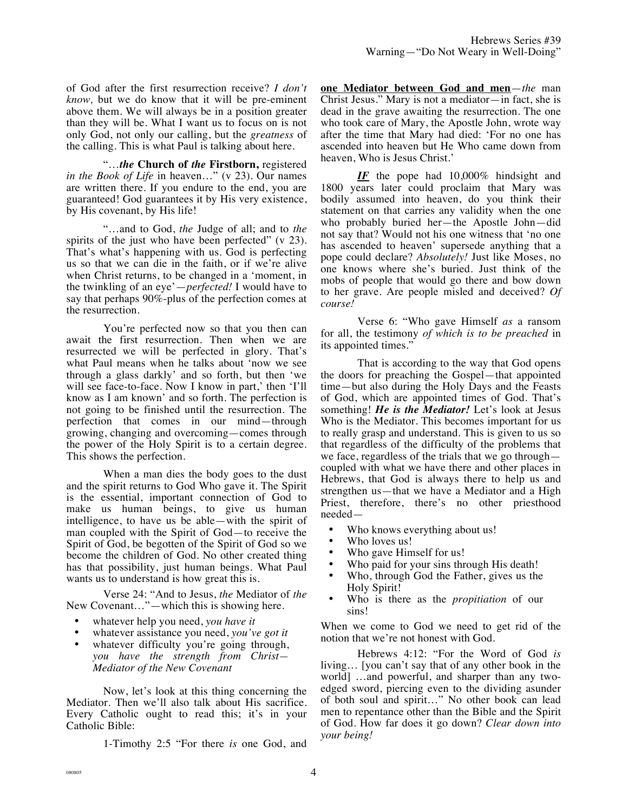of God after the first resurrection receive? *I don't know,* but we do know that it will be pre-eminent above them. We will always be in a position greater than they will be. What I want us to focus on is not only God, not only our calling, but the *greatness* of the calling. This is what Paul is talking about here.

"…*the* **Church of** *the* **Firstborn,** registered *in the Book of Life* in heaven…" (v 23). Our names are written there. If you endure to the end, you are guaranteed! God guarantees it by His very existence, by His covenant, by His life!

"…and to God, *the* Judge of all; and to *the* spirits of the just who have been perfected" (v 23). That's what's happening with us. God is perfecting us so that we can die in the faith, or if we're alive when Christ returns, to be changed in a 'moment, in the twinkling of an eye'—*perfected!* I would have to say that perhaps 90%-plus of the perfection comes at the resurrection.

You're perfected now so that you then can await the first resurrection. Then when we are resurrected we will be perfected in glory. That's what Paul means when he talks about 'now we see through a glass darkly' and so forth, but then 'we will see face-to-face. Now I know in part,' then 'I'll know as I am known' and so forth. The perfection is not going to be finished until the resurrection. The perfection that comes in our mind—through growing, changing and overcoming—comes through the power of the Holy Spirit is to a certain degree. This shows the perfection.

When a man dies the body goes to the dust and the spirit returns to God Who gave it. The Spirit is the essential, important connection of God to make us human beings, to give us human intelligence, to have us be able—with the spirit of man coupled with the Spirit of God—to receive the Spirit of God, be begotten of the Spirit of God so we become the children of God. No other created thing has that possibility, just human beings. What Paul wants us to understand is how great this is.

Verse 24: "And to Jesus, *the* Mediator of *the* New Covenant…"—which this is showing here.

- whatever help you need, *you have it*
- whatever assistance you need, *you've got it*
- whatever difficulty you're going through, *you have the strength from Christ— Mediator of the New Covenant*

Now, let's look at this thing concerning the Mediator. Then we'll also talk about His sacrifice. Every Catholic ought to read this; it's in your Catholic Bible:

1-Timothy 2:5 "For there *is* one God, and

**one Mediator between God and men**—*the* man Christ Jesus." Mary is not a mediator—in fact, she is dead in the grave awaiting the resurrection. The one who took care of Mary, the Apostle John, wrote way after the time that Mary had died: 'For no one has ascended into heaven but He Who came down from heaven, Who is Jesus Christ.'

*IF* the pope had 10,000% hindsight and 1800 years later could proclaim that Mary was bodily assumed into heaven, do you think their statement on that carries any validity when the one who probably buried her—the Apostle John—did not say that? Would not his one witness that 'no one has ascended to heaven' supersede anything that a pope could declare? *Absolutely!* Just like Moses, no one knows where she's buried. Just think of the mobs of people that would go there and bow down to her grave. Are people misled and deceived? *Of course!*

Verse 6: "Who gave Himself *as* a ransom for all, the testimony *of which is to be preached* in its appointed times."

That is according to the way that God opens the doors for preaching the Gospel—that appointed time—but also during the Holy Days and the Feasts of God, which are appointed times of God. That's something! *He is the Mediator!* Let's look at Jesus Who is the Mediator. This becomes important for us to really grasp and understand. This is given to us so that regardless of the difficulty of the problems that we face, regardless of the trials that we go through coupled with what we have there and other places in Hebrews, that God is always there to help us and strengthen us—that we have a Mediator and a High Priest, therefore, there's no other priesthood needed—

- Who knows everything about us!
- Who loves us!
- Who gave Himself for us!
- Who paid for your sins through His death!
- Who, through God the Father, gives us the Holy Spirit!
- Who is there as the *propitiation* of our sins!

When we come to God we need to get rid of the notion that we're not honest with God.

Hebrews 4:12: "For the Word of God *is* living… [you can't say that of any other book in the world] …and powerful, and sharper than any twoedged sword, piercing even to the dividing asunder of both soul and spirit…" No other book can lead men to repentance other than the Bible and the Spirit of God. How far does it go down? *Clear down into your being!*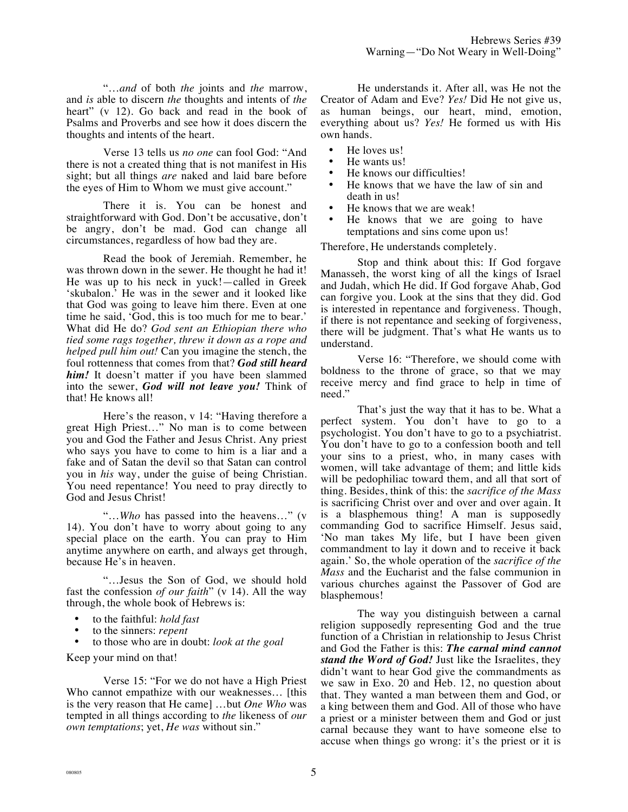"…*and* of both *the* joints and *the* marrow, and *is* able to discern *the* thoughts and intents of *the* heart" (v 12). Go back and read in the book of Psalms and Proverbs and see how it does discern the thoughts and intents of the heart.

Verse 13 tells us *no one* can fool God: "And there is not a created thing that is not manifest in His sight; but all things *are* naked and laid bare before the eyes of Him to Whom we must give account."

There it is. You can be honest and straightforward with God. Don't be accusative, don't be angry, don't be mad. God can change all circumstances, regardless of how bad they are.

Read the book of Jeremiah. Remember, he was thrown down in the sewer. He thought he had it! He was up to his neck in yuck!—called in Greek 'skubalon.' He was in the sewer and it looked like that God was going to leave him there. Even at one time he said, 'God, this is too much for me to bear.' What did He do? *God sent an Ethiopian there who tied some rags together, threw it down as a rope and helped pull him out!* Can you imagine the stench, the foul rottenness that comes from that? *God still heard him!* It doesn't matter if you have been slammed into the sewer, *God will not leave you!* Think of that! He knows all!

Here's the reason, v 14: "Having therefore a great High Priest…" No man is to come between you and God the Father and Jesus Christ. Any priest who says you have to come to him is a liar and a fake and of Satan the devil so that Satan can control you in *his* way, under the guise of being Christian. You need repentance! You need to pray directly to God and Jesus Christ!

"…*Who* has passed into the heavens…" (v 14). You don't have to worry about going to any special place on the earth. You can pray to Him anytime anywhere on earth, and always get through, because He's in heaven.

"…Jesus the Son of God, we should hold fast the confession *of our faith*" (v 14). All the way through, the whole book of Hebrews is:

- to the faithful: *hold fast*
- to the sinners: *repent*
- to those who are in doubt: *look at the goal*

Keep your mind on that!

Verse 15: "For we do not have a High Priest Who cannot empathize with our weaknesses… [this is the very reason that He came] …but *One Who* was tempted in all things according to *the* likeness of *our own temptations*; yet, *He was* without sin."

He understands it. After all, was He not the Creator of Adam and Eve? *Yes!* Did He not give us, as human beings, our heart, mind, emotion, everything about us? *Yes!* He formed us with His own hands.

- He loves us!
- He wants us!
- He knows our difficulties!
- He knows that we have the law of sin and death in us!
- He knows that we are weak!
- He knows that we are going to have temptations and sins come upon us!

Therefore, He understands completely.

Stop and think about this: If God forgave Manasseh, the worst king of all the kings of Israel and Judah, which He did. If God forgave Ahab, God can forgive you. Look at the sins that they did. God is interested in repentance and forgiveness. Though, if there is not repentance and seeking of forgiveness, there will be judgment. That's what He wants us to understand.

Verse 16: "Therefore, we should come with boldness to the throne of grace, so that we may receive mercy and find grace to help in time of need."

That's just the way that it has to be. What a perfect system. You don't have to go to a psychologist. You don't have to go to a psychiatrist. You don't have to go to a confession booth and tell your sins to a priest, who, in many cases with women, will take advantage of them; and little kids will be pedophiliac toward them, and all that sort of thing. Besides, think of this: the *sacrifice of the Mass* is sacrificing Christ over and over and over again. It is a blasphemous thing! A man is supposedly commanding God to sacrifice Himself. Jesus said, 'No man takes My life, but I have been given commandment to lay it down and to receive it back again.' So, the whole operation of the *sacrifice of the Mass* and the Eucharist and the false communion in various churches against the Passover of God are blasphemous!

The way you distinguish between a carnal religion supposedly representing God and the true function of a Christian in relationship to Jesus Christ and God the Father is this: *The carnal mind cannot stand the Word of God!* Just like the Israelites, they didn't want to hear God give the commandments as we saw in Exo. 20 and Heb. 12, no question about that. They wanted a man between them and God, or a king between them and God. All of those who have a priest or a minister between them and God or just carnal because they want to have someone else to accuse when things go wrong: it's the priest or it is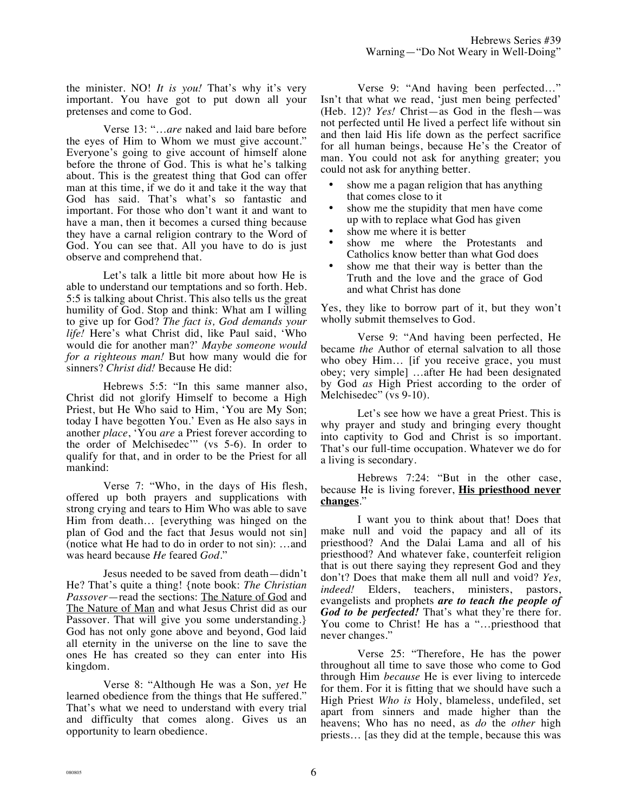the minister. NO! *It is you!* That's why it's very important. You have got to put down all your pretenses and come to God.

Verse 13: "…*are* naked and laid bare before the eyes of Him to Whom we must give account." Everyone's going to give account of himself alone before the throne of God. This is what he's talking about. This is the greatest thing that God can offer man at this time, if we do it and take it the way that God has said. That's what's so fantastic and important. For those who don't want it and want to have a man, then it becomes a cursed thing because they have a carnal religion contrary to the Word of God. You can see that. All you have to do is just observe and comprehend that.

Let's talk a little bit more about how He is able to understand our temptations and so forth. Heb. 5:5 is talking about Christ. This also tells us the great humility of God. Stop and think: What am I willing to give up for God? *The fact is, God demands your life!* Here's what Christ did, like Paul said, 'Who would die for another man?' *Maybe someone would for a righteous man!* But how many would die for sinners? *Christ did!* Because He did:

Hebrews 5:5: "In this same manner also, Christ did not glorify Himself to become a High Priest, but He Who said to Him, 'You are My Son; today I have begotten You.' Even as He also says in another *place*, 'You *are* a Priest forever according to the order of Melchisedec'" (vs 5-6). In order to qualify for that, and in order to be the Priest for all mankind:

Verse 7: "Who, in the days of His flesh, offered up both prayers and supplications with strong crying and tears to Him Who was able to save Him from death… [everything was hinged on the plan of God and the fact that Jesus would not sin] (notice what He had to do in order to not sin): …and was heard because *He* feared *God.*"

Jesus needed to be saved from death—didn't He? That's quite a thing! {note book: *The Christian Passover*—read the sections: The Nature of God and The Nature of Man and what Jesus Christ did as our Passover. That will give you some understanding.} God has not only gone above and beyond, God laid all eternity in the universe on the line to save the ones He has created so they can enter into His kingdom.

Verse 8: "Although He was a Son, *yet* He learned obedience from the things that He suffered." That's what we need to understand with every trial and difficulty that comes along. Gives us an opportunity to learn obedience.

Verse 9: "And having been perfected…" Isn't that what we read, 'just men being perfected' (Heb. 12)? *Yes!* Christ—as God in the flesh—was not perfected until He lived a perfect life without sin and then laid His life down as the perfect sacrifice for all human beings, because He's the Creator of man. You could not ask for anything greater; you could not ask for anything better.

- show me a pagan religion that has anything that comes close to it
- show me the stupidity that men have come up with to replace what God has given
- show me where it is better
- show me where the Protestants and Catholics know better than what God does
- show me that their way is better than the Truth and the love and the grace of God and what Christ has done

Yes, they like to borrow part of it, but they won't wholly submit themselves to God.

Verse 9: "And having been perfected, He became *the* Author of eternal salvation to all those who obey Him… [if you receive grace, you must obey; very simple] …after He had been designated by God *as* High Priest according to the order of Melchisedec" (vs 9-10).

Let's see how we have a great Priest. This is why prayer and study and bringing every thought into captivity to God and Christ is so important. That's our full-time occupation. Whatever we do for a living is secondary.

Hebrews 7:24: "But in the other case, because He is living forever, **His priesthood never changes**."

I want you to think about that! Does that make null and void the papacy and all of its priesthood? And the Dalai Lama and all of his priesthood? And whatever fake, counterfeit religion that is out there saying they represent God and they don't? Does that make them all null and void? *Yes, indeed!* Elders, teachers, ministers, pastors, evangelists and prophets *are to teach the people of God to be perfected!* That's what they're there for. You come to Christ! He has a "…priesthood that never changes."

Verse 25: "Therefore, He has the power throughout all time to save those who come to God through Him *because* He is ever living to intercede for them. For it is fitting that we should have such a High Priest *Who is* Holy, blameless, undefiled, set apart from sinners and made higher than the heavens; Who has no need, as *do* the *other* high priests… [as they did at the temple, because this was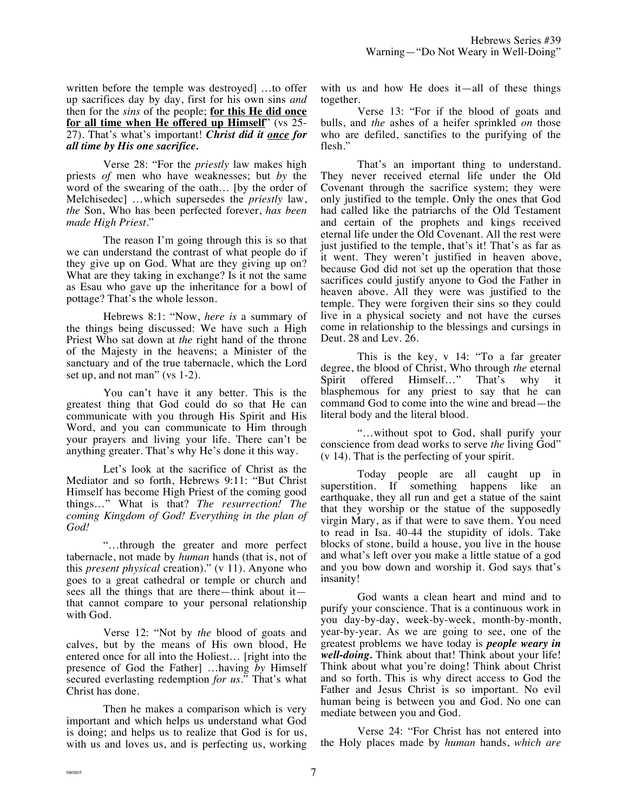written before the temple was destroyed] …to offer up sacrifices day by day, first for his own sins *and* then for the *sins* of the people; **for this He did once for all time when He offered up Himself**" (vs 25- 27). That's what's important! *Christ did it once for all time by His one sacrifice.* 

Verse 28: "For the *priestly* law makes high priests *of* men who have weaknesses; but *by* the word of the swearing of the oath… [by the order of Melchisedec] …which supersedes the *priestly* law, *the* Son, Who has been perfected forever, *has been made High Priest*."

The reason I'm going through this is so that we can understand the contrast of what people do if they give up on God. What are they giving up on? What are they taking in exchange? Is it not the same as Esau who gave up the inheritance for a bowl of pottage? That's the whole lesson.

Hebrews 8:1: "Now, *here is* a summary of the things being discussed: We have such a High Priest Who sat down at *the* right hand of the throne of the Majesty in the heavens; a Minister of the sanctuary and of the true tabernacle, which the Lord set up, and not man" (vs 1-2).

You can't have it any better. This is the greatest thing that God could do so that He can communicate with you through His Spirit and His Word, and you can communicate to Him through your prayers and living your life. There can't be anything greater. That's why He's done it this way.

Let's look at the sacrifice of Christ as the Mediator and so forth, Hebrews 9:11: "But Christ Himself has become High Priest of the coming good things…" What is that? *The resurrection! The coming Kingdom of God! Everything in the plan of God!*

"…through the greater and more perfect tabernacle, not made by *human* hands (that is, not of this *present physical* creation)." (v 11). Anyone who goes to a great cathedral or temple or church and sees all the things that are there—think about it that cannot compare to your personal relationship with God.

Verse 12: "Not by *the* blood of goats and calves, but by the means of His own blood, He entered once for all into the Holiest… [right into the presence of God the Father] …having *by* Himself secured everlasting redemption *for us*." That's what Christ has done.

Then he makes a comparison which is very important and which helps us understand what God is doing; and helps us to realize that God is for us, with us and loves us, and is perfecting us, working with us and how He does it—all of these things together.

Verse 13: "For if the blood of goats and bulls, and *the* ashes of a heifer sprinkled *on* those who are defiled, sanctifies to the purifying of the flesh."

That's an important thing to understand. They never received eternal life under the Old Covenant through the sacrifice system; they were only justified to the temple. Only the ones that God had called like the patriarchs of the Old Testament and certain of the prophets and kings received eternal life under the Old Covenant. All the rest were just justified to the temple, that's it! That's as far as it went. They weren't justified in heaven above, because God did not set up the operation that those sacrifices could justify anyone to God the Father in heaven above. All they were was justified to the temple. They were forgiven their sins so they could live in a physical society and not have the curses come in relationship to the blessings and cursings in Deut. 28 and Lev. 26.

This is the key, v 14: "To a far greater degree, the blood of Christ, Who through *the* eternal Spirit offered Himself…" That's why it blasphemous for any priest to say that he can command God to come into the wine and bread—the literal body and the literal blood.

"…without spot to God, shall purify your conscience from dead works to serve *the* living God" (v 14). That is the perfecting of your spirit.

Today people are all caught up in superstition. If something happens like an earthquake, they all run and get a statue of the saint that they worship or the statue of the supposedly virgin Mary, as if that were to save them. You need to read in Isa. 40-44 the stupidity of idols. Take blocks of stone, build a house, you live in the house and what's left over you make a little statue of a god and you bow down and worship it. God says that's insanity!

God wants a clean heart and mind and to purify your conscience. That is a continuous work in you day-by-day, week-by-week, month-by-month, year-by-year. As we are going to see, one of the greatest problems we have today is *people weary in well-doing.* Think about that! Think about your life! Think about what you're doing! Think about Christ and so forth. This is why direct access to God the Father and Jesus Christ is so important. No evil human being is between you and God. No one can mediate between you and God.

Verse 24: "For Christ has not entered into the Holy places made by *human* hands, *which are*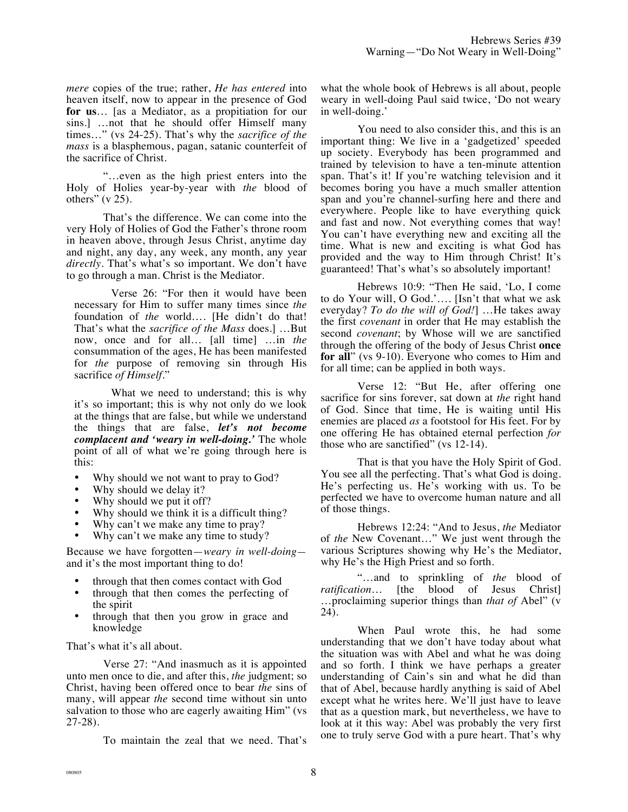*mere* copies of the true; rather, *He has entered* into heaven itself, now to appear in the presence of God **for us**… [as a Mediator, as a propitiation for our sins.] …not that he should offer Himself many times…" (vs 24-25). That's why the *sacrifice of the mass* is a blasphemous, pagan, satanic counterfeit of the sacrifice of Christ.

"…even as the high priest enters into the Holy of Holies year-by-year with *the* blood of others"  $(v 25)$ .

That's the difference. We can come into the very Holy of Holies of God the Father's throne room in heaven above, through Jesus Christ, anytime day and night, any day, any week, any month, any year *directly*. That's what's so important. We don't have to go through a man. Christ is the Mediator.

Verse 26: "For then it would have been necessary for Him to suffer many times since *the* foundation of *the* world…. [He didn't do that! That's what the *sacrifice of the Mass* does.] …But now, once and for all… [all time] …in *the* consummation of the ages, He has been manifested for *the* purpose of removing sin through His sacrifice *of Himself*."

What we need to understand; this is why it's so important; this is why not only do we look at the things that are false, but while we understand the things that are false, *let's not become complacent and 'weary in well-doing.'* The whole point of all of what we're going through here is this:

- Why should we not want to pray to God?
- Why should we delay it?
- Why should we put it off?
- Why should we think it is a difficult thing?
- Why can't we make any time to pray?
- Why can't we make any time to study?

Because we have forgotten—*weary in well-doing* and it's the most important thing to do!

- through that then comes contact with God
- through that then comes the perfecting of the spirit
- through that then you grow in grace and knowledge

That's what it's all about.

Verse 27: "And inasmuch as it is appointed unto men once to die, and after this, *the* judgment; so Christ, having been offered once to bear *the* sins of many, will appear *the* second time without sin unto salvation to those who are eagerly awaiting Him" (vs 27-28).

To maintain the zeal that we need. That's

what the whole book of Hebrews is all about, people weary in well-doing Paul said twice, 'Do not weary in well-doing.'

You need to also consider this, and this is an important thing: We live in a 'gadgetized' speeded up society. Everybody has been programmed and trained by television to have a ten-minute attention span. That's it! If you're watching television and it becomes boring you have a much smaller attention span and you're channel-surfing here and there and everywhere. People like to have everything quick and fast and now. Not everything comes that way! You can't have everything new and exciting all the time. What is new and exciting is what God has provided and the way to Him through Christ! It's guaranteed! That's what's so absolutely important!

Hebrews 10:9: "Then He said, 'Lo, I come to do Your will, O God.'…. [Isn't that what we ask everyday? *To do the will of God!*] …He takes away the first *covenant* in order that He may establish the second *covenant*; by Whose will we are sanctified through the offering of the body of Jesus Christ **once for all**" (vs 9-10). Everyone who comes to Him and for all time; can be applied in both ways.

Verse 12: "But He, after offering one sacrifice for sins forever, sat down at *the* right hand of God. Since that time, He is waiting until His enemies are placed *as* a footstool for His feet. For by one offering He has obtained eternal perfection *for* those who are sanctified" (vs 12-14).

That is that you have the Holy Spirit of God. You see all the perfecting. That's what God is doing. He's perfecting us. He's working with us. To be perfected we have to overcome human nature and all of those things.

Hebrews 12:24: "And to Jesus, *the* Mediator of *the* New Covenant…" We just went through the various Scriptures showing why He's the Mediator, why He's the High Priest and so forth.

"…and to sprinkling of *the* blood of *ratification*… [the blood of Jesus Christ] …proclaiming superior things than *that of* Abel" (v 24).

When Paul wrote this, he had some understanding that we don't have today about what the situation was with Abel and what he was doing and so forth. I think we have perhaps a greater understanding of Cain's sin and what he did than that of Abel, because hardly anything is said of Abel except what he writes here. We'll just have to leave that as a question mark, but nevertheless, we have to look at it this way: Abel was probably the very first one to truly serve God with a pure heart. That's why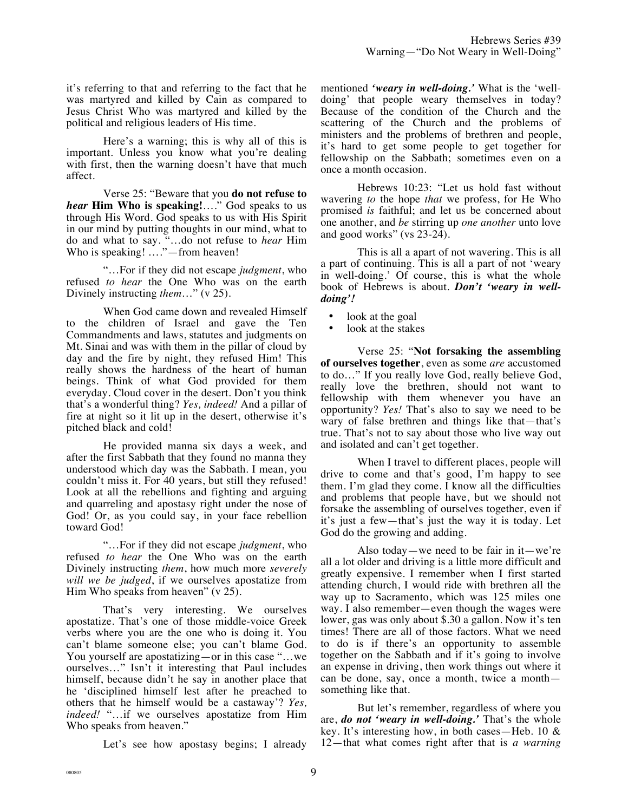it's referring to that and referring to the fact that he was martyred and killed by Cain as compared to Jesus Christ Who was martyred and killed by the political and religious leaders of His time.

Here's a warning; this is why all of this is important. Unless you know what you're dealing with first, then the warning doesn't have that much affect.

Verse 25: "Beware that you **do not refuse to**  *hear* **Him Who is speaking!**…." God speaks to us through His Word. God speaks to us with His Spirit in our mind by putting thoughts in our mind, what to do and what to say. "…do not refuse to *hear* Him Who is speaking! …."—from heaven!

"…For if they did not escape *judgment*, who refused *to hear* the One Who was on the earth Divinely instructing *them*…" (v 25).

When God came down and revealed Himself to the children of Israel and gave the Ten Commandments and laws, statutes and judgments on Mt. Sinai and was with them in the pillar of cloud by day and the fire by night, they refused Him! This really shows the hardness of the heart of human beings. Think of what God provided for them everyday. Cloud cover in the desert. Don't you think that's a wonderful thing? *Yes, indeed!* And a pillar of fire at night so it lit up in the desert, otherwise it's pitched black and cold!

He provided manna six days a week, and after the first Sabbath that they found no manna they understood which day was the Sabbath. I mean, you couldn't miss it. For 40 years, but still they refused! Look at all the rebellions and fighting and arguing and quarreling and apostasy right under the nose of God! Or, as you could say, in your face rebellion toward God!

"…For if they did not escape *judgment*, who refused *to hear* the One Who was on the earth Divinely instructing *them*, how much more *severely will we be judged*, if we ourselves apostatize from Him Who speaks from heaven" (v 25).

That's very interesting. We ourselves apostatize. That's one of those middle-voice Greek verbs where you are the one who is doing it. You can't blame someone else; you can't blame God. You yourself are apostatizing—or in this case "…we ourselves…" Isn't it interesting that Paul includes himself, because didn't he say in another place that he 'disciplined himself lest after he preached to others that he himself would be a castaway'? *Yes, indeed!* "…if we ourselves apostatize from Him Who speaks from heaven."

Let's see how apostasy begins; I already

mentioned *'weary in well-doing.'* What is the 'welldoing' that people weary themselves in today? Because of the condition of the Church and the scattering of the Church and the problems of ministers and the problems of brethren and people, it's hard to get some people to get together for fellowship on the Sabbath; sometimes even on a once a month occasion.

Hebrews 10:23: "Let us hold fast without wavering *to* the hope *that* we profess, for He Who promised *is* faithful; and let us be concerned about one another, and *be* stirring up *one another* unto love and good works" (vs 23-24).

This is all a apart of not wavering. This is all a part of continuing. This is all a part of not 'weary in well-doing.' Of course, this is what the whole book of Hebrews is about. *Don't 'weary in welldoing'!*

- look at the goal
- look at the stakes

Verse 25: "**Not forsaking the assembling of ourselves together**, even as some *are* accustomed to do…" If you really love God, really believe God, really love the brethren, should not want to fellowship with them whenever you have an opportunity? *Yes!* That's also to say we need to be wary of false brethren and things like that—that's true. That's not to say about those who live way out and isolated and can't get together.

When I travel to different places, people will drive to come and that's good, I'm happy to see them. I'm glad they come. I know all the difficulties and problems that people have, but we should not forsake the assembling of ourselves together, even if it's just a few—that's just the way it is today. Let God do the growing and adding.

Also today—we need to be fair in it—we're all a lot older and driving is a little more difficult and greatly expensive. I remember when I first started attending church, I would ride with brethren all the way up to Sacramento, which was 125 miles one way. I also remember—even though the wages were lower, gas was only about \$.30 a gallon. Now it's ten times! There are all of those factors. What we need to do is if there's an opportunity to assemble together on the Sabbath and if it's going to involve an expense in driving, then work things out where it can be done, say, once a month, twice a month something like that.

But let's remember, regardless of where you are, *do not 'weary in well-doing.'* That's the whole key. It's interesting how, in both cases—Heb. 10 & 12—that what comes right after that is *a warning*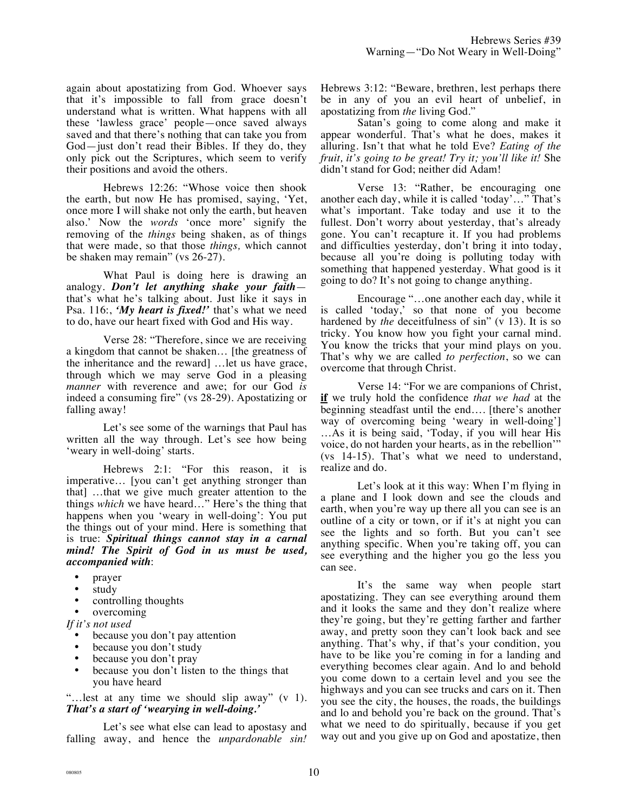again about apostatizing from God. Whoever says that it's impossible to fall from grace doesn't understand what is written. What happens with all these 'lawless grace' people—once saved always saved and that there's nothing that can take you from God—just don't read their Bibles. If they do, they only pick out the Scriptures, which seem to verify their positions and avoid the others.

Hebrews 12:26: "Whose voice then shook the earth, but now He has promised, saying, 'Yet, once more I will shake not only the earth, but heaven also.' Now the *words* 'once more' signify the removing of the *things* being shaken, as of things that were made, so that those *things,* which cannot be shaken may remain" (vs 26-27).

What Paul is doing here is drawing an analogy. *Don't let anything shake your faith* that's what he's talking about. Just like it says in Psa. 116:, *'My heart is fixed!'* that's what we need to do, have our heart fixed with God and His way.

Verse 28: "Therefore, since we are receiving a kingdom that cannot be shaken… [the greatness of the inheritance and the reward] …let us have grace, through which we may serve God in a pleasing *manner* with reverence and awe; for our God *is* indeed a consuming fire" (vs 28-29). Apostatizing or falling away!

Let's see some of the warnings that Paul has written all the way through. Let's see how being 'weary in well-doing' starts.

Hebrews 2:1: "For this reason, it is imperative… [you can't get anything stronger than that] …that we give much greater attention to the things *which* we have heard…" Here's the thing that happens when you 'weary in well-doing': You put the things out of your mind. Here is something that is true: *Spiritual things cannot stay in a carnal mind! The Spirit of God in us must be used, accompanied with*:

- prayer
- study
- controlling thoughts
- overcoming

*If it's not used*

- because you don't pay attention
- because you don't study
- because you don't pray
- because you don't listen to the things that you have heard

"…lest at any time we should slip away" (v 1). *That's a start of 'wearying in well-doing.'*

Let's see what else can lead to apostasy and falling away, and hence the *unpardonable sin!* Hebrews 3:12: "Beware, brethren, lest perhaps there be in any of you an evil heart of unbelief, in apostatizing from *the* living God."

Satan's going to come along and make it appear wonderful. That's what he does, makes it alluring. Isn't that what he told Eve? *Eating of the fruit, it's going to be great! Try it; you'll like it!* She didn't stand for God; neither did Adam!

Verse 13: "Rather, be encouraging one another each day, while it is called 'today'…" That's what's important. Take today and use it to the fullest. Don't worry about yesterday, that's already gone. You can't recapture it. If you had problems and difficulties yesterday, don't bring it into today, because all you're doing is polluting today with something that happened yesterday. What good is it going to do? It's not going to change anything.

Encourage "…one another each day, while it is called 'today,' so that none of you become hardened by *the* deceitfulness of sin" (v 13). It is so tricky. You know how you fight your carnal mind. You know the tricks that your mind plays on you. That's why we are called *to perfection*, so we can overcome that through Christ.

Verse 14: "For we are companions of Christ, **if** we truly hold the confidence *that we had* at the beginning steadfast until the end…. [there's another way of overcoming being 'weary in well-doing'] …As it is being said, 'Today, if you will hear His voice, do not harden your hearts, as in the rebellion'" (vs 14-15). That's what we need to understand, realize and do.

Let's look at it this way: When I'm flying in a plane and I look down and see the clouds and earth, when you're way up there all you can see is an outline of a city or town, or if it's at night you can see the lights and so forth. But you can't see anything specific. When you're taking off, you can see everything and the higher you go the less you can see.

It's the same way when people start apostatizing. They can see everything around them and it looks the same and they don't realize where they're going, but they're getting farther and farther away, and pretty soon they can't look back and see anything. That's why, if that's your condition, you have to be like you're coming in for a landing and everything becomes clear again. And lo and behold you come down to a certain level and you see the highways and you can see trucks and cars on it. Then you see the city, the houses, the roads, the buildings and lo and behold you're back on the ground. That's what we need to do spiritually, because if you get way out and you give up on God and apostatize, then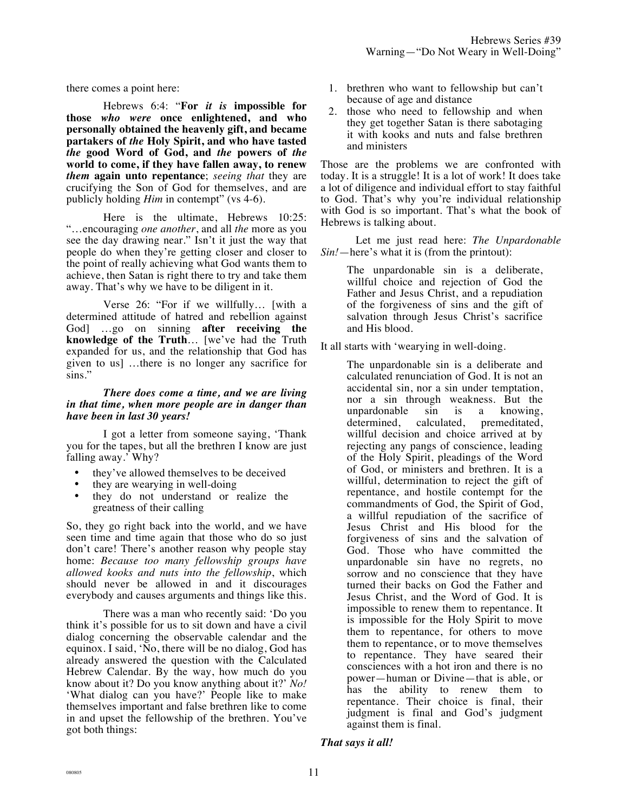there comes a point here:

Hebrews 6:4: "**For** *it is* **impossible for those** *who were* **once enlightened, and who personally obtained the heavenly gift, and became partakers of** *the* **Holy Spirit, and who have tasted**  *the* **good Word of God, and** *the* **powers of** *the* **world to come, if they have fallen away, to renew**  *them* **again unto repentance**; *seeing that* they are crucifying the Son of God for themselves, and are publicly holding *Him* in contempt" (vs 4-6).

Here is the ultimate, Hebrews 10:25: "…encouraging *one another*, and all *the* more as you see the day drawing near." Isn't it just the way that people do when they're getting closer and closer to the point of really achieving what God wants them to achieve, then Satan is right there to try and take them away. That's why we have to be diligent in it.

Verse 26: "For if we willfully… [with a determined attitude of hatred and rebellion against God] …go on sinning **after receiving the knowledge of the Truth**… [we've had the Truth expanded for us, and the relationship that God has given to us] …there is no longer any sacrifice for sins."

## *There does come a time, and we are living in that time, when more people are in danger than have been in last 30 years!*

I got a letter from someone saying, 'Thank you for the tapes, but all the brethren I know are just falling away.' Why?

- they've allowed themselves to be deceived
- they are wearying in well-doing
- they do not understand or realize the greatness of their calling

So, they go right back into the world, and we have seen time and time again that those who do so just don't care! There's another reason why people stay home: *Because too many fellowship groups have allowed kooks and nuts into the fellowship*, which should never be allowed in and it discourages everybody and causes arguments and things like this.

There was a man who recently said: 'Do you think it's possible for us to sit down and have a civil dialog concerning the observable calendar and the equinox. I said, 'No, there will be no dialog, God has already answered the question with the Calculated Hebrew Calendar. By the way, how much do you know about it? Do you know anything about it?' *No!* 'What dialog can you have?' People like to make themselves important and false brethren like to come in and upset the fellowship of the brethren. You've got both things:

- 1. brethren who want to fellowship but can't because of age and distance
- 2. those who need to fellowship and when they get together Satan is there sabotaging it with kooks and nuts and false brethren and ministers

Those are the problems we are confronted with today. It is a struggle! It is a lot of work! It does take a lot of diligence and individual effort to stay faithful to God. That's why you're individual relationship with God is so important. That's what the book of Hebrews is talking about.

Let me just read here: *The Unpardonable Sin!*—here's what it is (from the printout):

> The unpardonable sin is a deliberate, willful choice and rejection of God the Father and Jesus Christ, and a repudiation of the forgiveness of sins and the gift of salvation through Jesus Christ's sacrifice and His blood.

It all starts with 'wearying in well-doing.

The unpardonable sin is a deliberate and calculated renunciation of God. It is not an accidental sin, nor a sin under temptation, nor a sin through weakness. But the unpardonable sin is a knowing, determined, calculated, premeditated, willful decision and choice arrived at by rejecting any pangs of conscience, leading of the Holy Spirit, pleadings of the Word of God, or ministers and brethren. It is a willful, determination to reject the gift of repentance, and hostile contempt for the commandments of God, the Spirit of God, a willful repudiation of the sacrifice of Jesus Christ and His blood for the forgiveness of sins and the salvation of God. Those who have committed the unpardonable sin have no regrets, no sorrow and no conscience that they have turned their backs on God the Father and Jesus Christ, and the Word of God. It is impossible to renew them to repentance. It is impossible for the Holy Spirit to move them to repentance, for others to move them to repentance, or to move themselves to repentance. They have seared their consciences with a hot iron and there is no power—human or Divine—that is able, or has the ability to renew them to repentance. Their choice is final, their judgment is final and God's judgment against them is final.

*That says it all!*